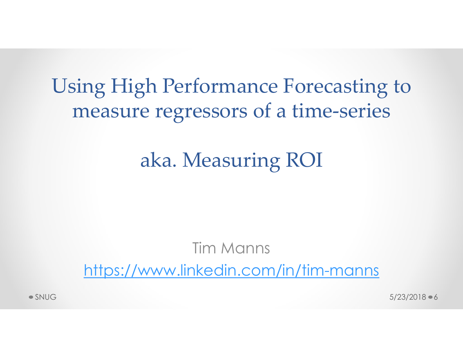# Using High Performance Forecasting to Example 18 and the Performance Forecasting to measure regressors of a time-series

## aka. Measuring ROI

## Tim Manns https://www.linkedin.com/in/tim-manns **aka. Measuring ROI**<br>Tim Manns<br>https://www.linkedin.com/in/tim-manns<br>s<sub>xpug</sub>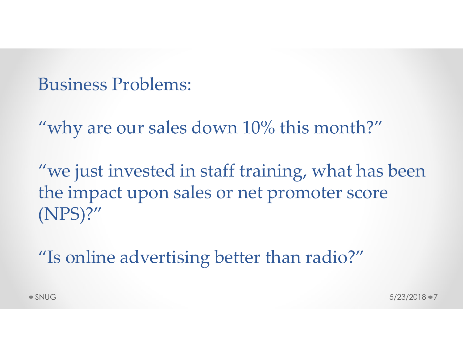Business Problems:

"why are our sales down 10% this month?"

"we just invested in staff training, what has been the impact upon sales or net promoter score (NPS)?" "we just invested in staff training, what has been<br>the impact upon sales or net promoter score<br>(NPS)?"<br>"Is online advertising better than radio?"<br>SNUG 5/23/2018 \*7

"Is online advertising better than radio?"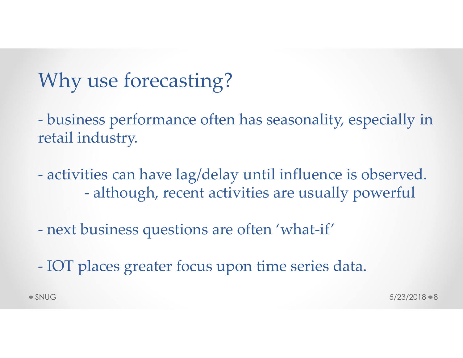## Why use forecasting?

Why use forecasting?<br>- business performance often has seasonality, especially in<br>retail industry. retail industry. Why use forecasting?<br>
- business performance often has seasonality, especially in<br>
retail industry.<br>
- activities can have lag/delay until influence is observed.<br>
- although, recent activities are usually powerful USE forecasting?<br>
ess performance often has seasonality, especially in<br>
dustry.<br>
ties can have lag/delay until influence is observed.<br>
- although, recent activities are usually powerful<br>
pusiness questions are often 'what-

- business performance often has seasonality, espectrail industry.<br>
- activities can have lag/delay until influence is observatively.<br>
- activities can have lag/delay until influence is observatively.<br>
- although, recent a retail industry.<br>
- activities can have lag/delay until influence is observe<br>
- although, recent activities are usually powerfu<br>
- next business questions are often 'what-if'<br>
- IOT places greater focus upon time series da - activities can have lag/delay until influence is observed.<br>
- although, recent activities are usually powerful<br>
- next business questions are often 'what-if'<br>
- IOT places greater focus upon time series data.<br>
SNUG S/23/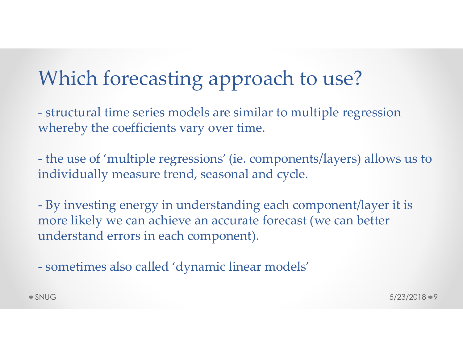## Which forecasting approach to use?

Which forecasting approach to use?<br>- structural time series models are similar to multiple regression<br>whereby the coefficients vary over time. whereby the coefficients vary over time.

Which forecasting approach to use?<br>
- structural time series models are similar to multiple regression<br>
whereby the coefficients vary over time.<br>
- the use of 'multiple regressions' (ie. components/layers) allows us to<br>
in individually measure trend, seasonal and cycle.

Which forecasting approach to use?<br>
- structural time series models are similar to multiple regression<br>
whereby the coefficients vary over time.<br>
- the use of 'multiple regressions' (ie. components/layers) allows us to<br>
in more likely we can achieve an accurate forecast (we can better understand errors in each component). whereby the coefficients vary over time.<br>
- the use of 'multiple regressions' (ie. components/layers)<br>
individually measure trend, seasonal and cycle.<br>
- By investing energy in understanding each component,<br>
more likely we - the use of 'multiple regressions' (ie. components/layers) allows us to individually measure trend, seasonal and cycle.<br>
- By investing energy in understanding each component/layer it is more likely we can achieve an accu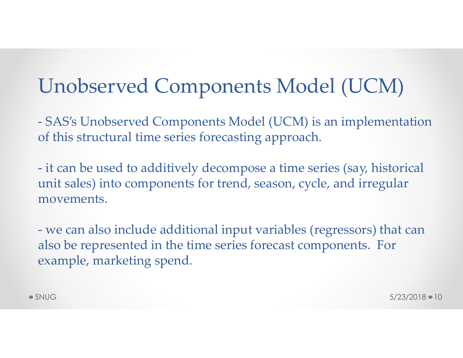## Unobserved Components Model (UCM)

Unobserved Components Model (UCM)<br>- SAS's Unobserved Components Model (UCM) is an implementation<br>of this structural time series forecasting approach.<br>it can be used to additively decompose a time series (say bistorial) of this structural time series forecasting approach.

Unobserved Components Model (UCM)<br>- sAS's Unobserved Components Model (UCM) is an implementation<br>of this structural time series forecasting approach.<br>- it can be used to additively decompose a time series (say, historical<br> unit sales) into components for trend, season, cycle, and irregular movements. **CITODSETVEG COITIPOITEITTS IVIOGET (UCIVI)**<br>- SAS's Unobserved Components Model (UCM) is an implementation<br>of this structural time series forecasting approach.<br>- it can be used to additively decompose a time series (say, - it can be used to additively decompose a time series (say, historical unit sales) into components for trend, season, cycle, and irregular movements.<br>
- we can also include additional input variables (regressors) that can

also be represented in the time series forecast components. For example, marketing spend.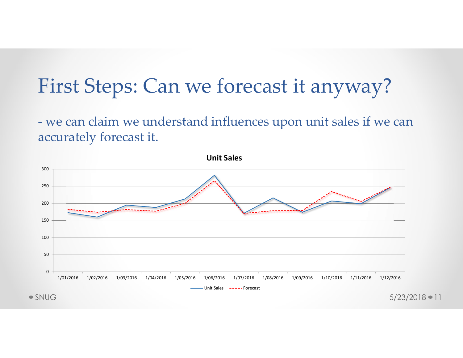## First Steps: Can we forecast it anyway?

First Steps: Can we forecast it anyway?<br>- we can claim we understand influences upon unit sales if we can<br>accurately forecast it. accurately forecast it.

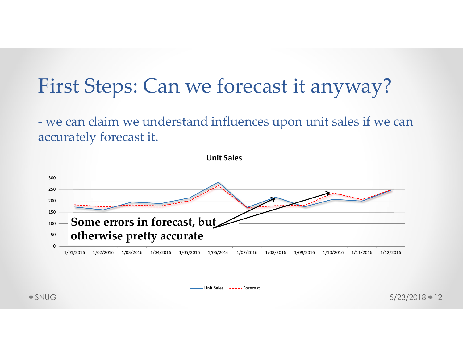## First Steps: Can we forecast it anyway?

First Steps: Can we forecast it anyway?<br>- we can claim we understand influences upon unit sales if we can<br>accurately forecast it. accurately forecast it.



Unit Sales -----Forecast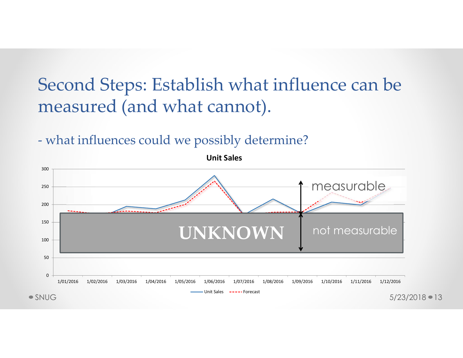## Second Steps: Establish what influence can be measured (and what cannot). Second Steps: Establish what influence can k<br>measured (and what cannot).<br>- what influences could we possibly determine?<br>- white sales

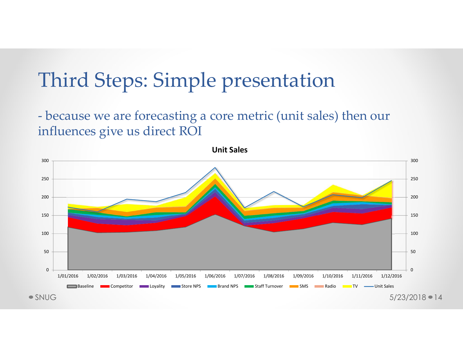## Third Steps: Simple presentation

Third Steps: Simple presentation<br>- because we are forecasting a core metric (unit sales) then our<br>influences give us direct ROI influences give us direct ROI

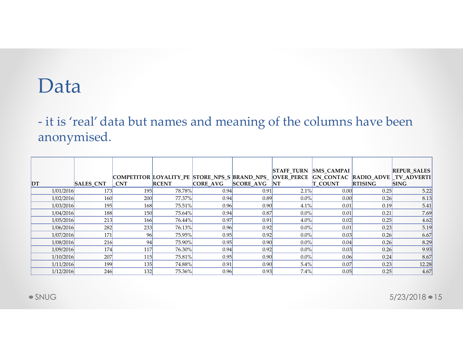### Data

Data<br>- it is 'real' data but names and meaning of the columns have been<br>anonymised. anonymised.

|    | Data                   |             |           |                                                                                                               |              |              |                    |                       |                |                                   |
|----|------------------------|-------------|-----------|---------------------------------------------------------------------------------------------------------------|--------------|--------------|--------------------|-----------------------|----------------|-----------------------------------|
|    |                        | anonymised. |           | - it is 'real' data but names and meaning of the columns have been                                            |              |              |                    |                       |                |                                   |
|    |                        |             |           |                                                                                                               |              |              |                    |                       |                |                                   |
| DT |                        | SALES_CNT   | CNT       | COMPETITOR LOYALITY_PE STORE_NPS_S BRAND_NPS_  OVER_PERCE  GN_CONTAC  RADIO_ADVE  _TV_ADVERTI<br><b>RCENT</b> | CORE_AVG     | SCORE_AVG NT | <b>STAFF_TURN</b>  | SMS_CAMPAI<br>T_COUNT | <b>RTISING</b> | <b>REPUR_SALES</b><br><b>SING</b> |
|    | 1/01/2016              | 173         | 195       | 78.78%                                                                                                        | 0.94         | 0.91         | 2.1%               | 0.00                  | 0.25           | 5.22                              |
|    | 1/02/2016              | 160         | 200       | 77.37%                                                                                                        | 0.94         | 0.89         | $0.0\%$            | 0.00                  | 0.26           | 8.13                              |
|    | 1/03/2016              | 195         | 168       | 75.51%                                                                                                        | 0.96         | 0.90         | 4.1%               | 0.01                  | 0.19           | 5.41                              |
|    | 1/04/2016              | 188         | 150       | 75.64%                                                                                                        | 0.94         | 0.87         | $0.0\%$            | 0.01                  | 0.21           | 7.69                              |
|    | 1/05/2016              | 213         | 166       | 76.44%                                                                                                        | 0.97         | 0.91         | 4.0%               | 0.02                  | 0.25           | 4.62                              |
|    | 1/06/2016              | 282         | 233       | 76.13%                                                                                                        | 0.96         | 0.92         | $0.0\%$            | 0.01                  | 0.23           | 5.19                              |
|    | 1/07/2016<br>1/08/2016 | 171<br>216  | 96        | 75.95%                                                                                                        | 0.95<br>0.95 | 0.92<br>0.90 | $0.0\%$<br>$0.0\%$ | 0.03<br>0.04          | 0.26<br>0.26   | 6.67<br>8.29                      |
|    | 1/09/2016              | 174         | 94<br>117 | 75.90%<br>76.30%                                                                                              | 0.94         | 0.92         | $0.0\%$            | 0.03                  | 0.26           | 9.93                              |
|    | 1/10/2016              | 207         | 115       | 75.81%                                                                                                        | 0.95         | 0.90         | $0.0\%$            | 0.06                  | 0.24           | 8.67                              |
|    | 1/11/2016              | 199         | 135       | 74.88%                                                                                                        | 0.91         | 0.90         | 5.4%               | 0.07                  | 0.23           | 12.28                             |
|    | 1/12/2016              | 246         | 132       | 75.36%                                                                                                        | 0.96         | 0.93         | 7.4%               | 0.05                  | 0.25           | 4.67                              |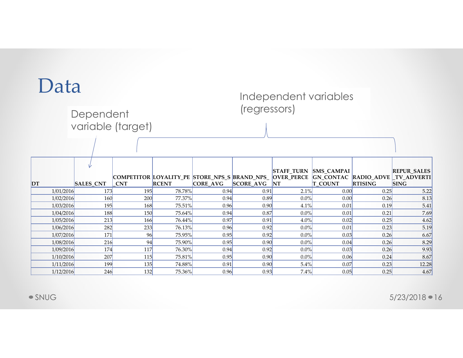### Data

#### Independent variables (regressors)

| Data                   |                  |                      |                  |              |              | Independent variables |                |                |                                                                                                         |
|------------------------|------------------|----------------------|------------------|--------------|--------------|-----------------------|----------------|----------------|---------------------------------------------------------------------------------------------------------|
|                        | Dependent        |                      |                  |              | (regressors) |                       |                |                |                                                                                                         |
|                        |                  |                      |                  |              |              |                       |                |                |                                                                                                         |
|                        |                  | variable (target)    |                  |              |              |                       |                |                |                                                                                                         |
|                        |                  |                      |                  |              |              |                       |                |                |                                                                                                         |
|                        |                  |                      |                  |              |              |                       |                |                |                                                                                                         |
|                        |                  |                      |                  |              |              |                       |                |                |                                                                                                         |
|                        |                  |                      |                  |              |              | STAFF_TURN SMS_CAMPAI |                |                | <b>REPUR_SALES</b>                                                                                      |
| DT                     | <b>SALES_CNT</b> | <b>CNT</b>           | <b>RCENT</b>     | CORE_AVG     | SCORE AVG NT |                       | <b>T_COUNT</b> | <b>RTISING</b> | COMPETITOR LOYALITY_PE STORE_NPS_S BRAND_NPS_ OVER_PERCE GN_CONTAC RADIO_ADVE TV_ADVERTI<br><b>SING</b> |
| 1/01/2016              | 173              | 195                  | 78.78%           | 0.94         | 0.91         | 2.1%                  | 0.00           | 0.25           | 5.22                                                                                                    |
| 1/02/2016              | 160              | 200                  | 77.37%           | 0.94         | 0.89         | $0.0\%$               | 0.00           | 0.26           | 8.13                                                                                                    |
| 1/03/2016              | 195              | 168                  | 75.51%           | 0.96         | 0.90         | 4.1%                  | 0.01           | 0.19           | 5.41                                                                                                    |
| 1/04/2016              | 188              | 150                  | 75.64%           | 0.94         | 0.87         | $0.0\%$               | 0.01           | 0.21           | 7.69                                                                                                    |
| 1/05/2016              | 213              | 166                  | 76.44%           | 0.97         | 0.91         | 4.0%                  | 0.02           | 0.25           | 4.62                                                                                                    |
| 1/06/2016              | 282              | 233                  | 76.13%           | 0.96         | 0.92         | $0.0\%$               | 0.01           | 0.23           | 5.19                                                                                                    |
| 1/07/2016              | 171              | 96                   | 75.95%           | 0.95         | 0.92         | $0.0\%$               | 0.03           | 0.26           | 6.67                                                                                                    |
|                        | 216              | 94                   | 75.90%           | 0.95         | 0.90         | $0.0\%$               | 0.04           | 0.26           | 8.29                                                                                                    |
| 1/08/2016              | 174              | 117                  | 76.30%<br>75.81% | 0.94         | 0.92         | $0.0\%$               | 0.03           | 0.26           | 9.93                                                                                                    |
| 1/09/2016              |                  |                      |                  | 0.95         | 0.90         | $0.0\%$               | 0.06<br>0.07   | 0.24<br>0.23   | 8.67<br>12.28                                                                                           |
| 1/10/2016              | 207              | 115                  |                  |              |              |                       |                |                |                                                                                                         |
| 1/11/2016<br>1/12/2016 | 199<br>246       | 135<br>$\boxed{132}$ | 74.88%<br>75.36% | 0.91<br>0.96 | 0.90<br>0.93 | 5.4%<br>7.4%          | 0.05           | 0.25           | 4.67                                                                                                    |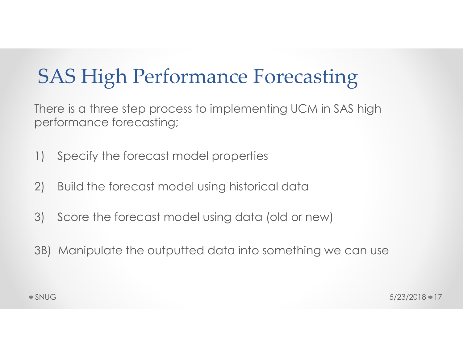## SAS High Performance Forecasting

There is a three step process to implementing UCM in SAS high performance forecasting; 1) SAS High Performance Forecastin<br>
There is a three step process to implementing UCM in S<br>
performance forecasting;<br>
1) Specify the forecast model properties<br>
2) Build the forecast model using historical data 9) SAS High Performance Forecasting<br>There is a three step process to implementing UCM in SAS high<br>performance forecasting:<br>1) Specify the forecast model properties<br>2) Build the forecast model using historical data<br>3) Score **SAS High Performance Forecasting**<br>There is a three step process to implementing UCM in SAS high<br>performance forecasting:<br>1) Specify the forecast model properties<br>2) Build the forecast model using historical data<br>3) Score

- 
- 
- 
- Specify the forecast model properties<br>
2) Build the forecast model using historical data<br>
3) Score the forecast model using data (old or new)<br>
3B) Manipulate the outputted data into something we can use<br>
5/23/2018 17<br>
5/ 3B) Manipulate the outputted data into something we can use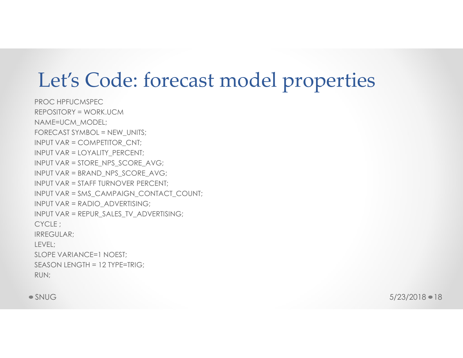## Let's Code: forecast model properties

PROC HPFUCMSPEC REPOSITORY = WORK.UCM NAME=UCM\_MODEL; FORECAST SYMBOL = NEW\_UNITS; INPUT VAR = COMPETITOR\_CNT; INPUT VAR = LOYALITY\_PERCENT; INPUT VAR = STORE\_NPS\_SCORE\_AVG; INPUT VAR = BRAND\_NPS\_SCORE\_AVG; INPUT VAR = STAFF TURNOVER PERCENT; INPUT VAR = SMS\_CAMPAIGN\_CONTACT\_COUNT; INPUT VAR = RADIO\_ADVERTISING; INPUT VAR = REPUR\_SALES\_TV\_ADVERTISING; CYCLE ; IRREGULAR; LEVEL; SLOPE VARIANCE=1 NOEST; SEASON LENGTH = 12 TYPE=TRIG; RUN;

SNUG

 $5/23/2018 - 18$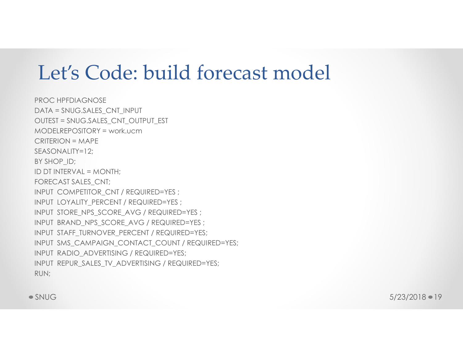## Let's Code: build forecast model

SEASONALITY=12;<br>BY SHOP\_ID;<br>ID DT INTERVAL = MONTH;<br>ID DT INTERVAL = MONTH;<br>INPUT COYALITY\_PERCENT / REQUIRED=YES ;<br>INPUT IOYALITY\_PERCENT / REQUIRED=YES ;<br>INPUT STAFF\_IURNOVER\_PERCENT / REQUIRED=YES ;<br>INPUT STAFF\_IURNOVER PROC HPFDIAGNOSE DATA = SNUG.SALES\_CNT\_INPUT OUTEST = SNUG.SALES\_CNT\_OUTPUT\_EST MODELREPOSITORY = work.ucm CRITERION = MAPE SEASONALITY=12; BY SHOP ID; ID DT INTERVAL = MONTH; FORECAST SALES\_CNT; INPUT COMPETITOR\_CNT / REQUIRED=YES ; INPUT LOYALITY PERCENT / REQUIRED=YES ; INPUT STORE NPS SCORE AVG / REQUIRED=YES ; INPUT BRAND\_NPS\_SCORE\_AVG / REQUIRED=YES ; INPUT STAFF\_TURNOVER\_PERCENT / REQUIRED=YES; INPUT SMS\_CAMPAIGN\_CONTACT\_COUNT / REQUIRED=YES; INPUT RADIO\_ADVERTISING / REQUIRED=YES; INPUT REPUR SALES TV ADVERTISING / REQUIRED=YES; RUN;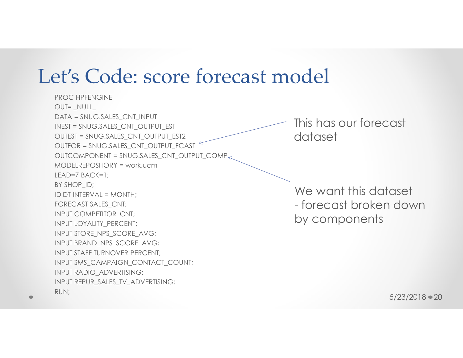## Let's Code: score forecast model

PROC HPFENGINE OUT= \_NULL\_ DATA = SNUG.SALES\_CNT\_INPUT INEST = SNUG.SALES\_CNT\_OUTPUT\_EST OUTEST = SNUG.SALES\_CNT\_OUTPUT\_EST2 OUTFOR = SNUG.SALES\_CNT\_OUTPUT\_FCAST  $OUTCOMPONENT = SNUG.SALES_CNT\_OUTPUT\_COMP_{\leq}$ MODELREPOSITORY = work.ucm LEAD=7 BACK=1; BY SHOP\_ID; ID DT INTERVAL = MONTH; FORECAST SALES\_CNT; INPUT COMPETITOR\_CNT; INPUT LOYALITY\_PERCENT; INPUT STORE\_NPS\_SCORE\_AVG; INPUT BRAND\_NPS\_SCORE\_AVG; INPUT STAFF TURNOVER PERCENT; INPUT SMS\_CAMPAIGN\_CONTACT\_COUNT; INPUT RADIO\_ADVERTISING; INPUT REPUR\_SALES\_TV\_ADVERTISING; RUN;

This has our forecast dataset

aset<br>down<br>5/23/2018 • 20 We want this dataset odel<br>This has our forecast<br>dataset<br>We want this dataset<br>- forecast broken down<br>by components by components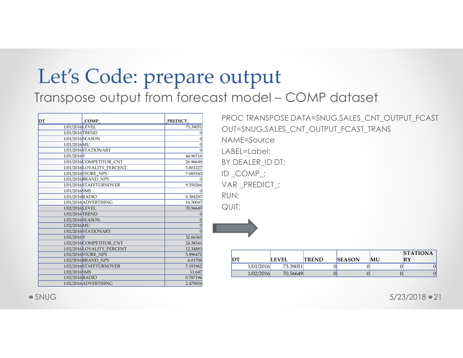## Let's Code: prepare output Let's Code: prepare output<br>Transpose output from forecast model – COMP dataset<br>
<u>PROC TRANSPOSE DATA=SNUG.SALES\_CNT\_OUTPUT\_FCAST</u><br>
ENTERING SALES\_CNT\_OUTPUT\_FCAST\_TRANS Let's Code: prepare output<br>
ranspose output from forecast model – COMP data<br>
prepare the prepare three computers in the set of the set of the set of the set of the set of the set of the<br>
prepare the set of the set of the s <sup>1/</sup>S Code: prepare output<br>pose output from forecast model – COMP dataset<br> **101/2016 COMP**<br>
<u>101/2016 COMP</u><br>
<u>101/2016 COMP</u><br>
101/2016 COMP<br>
101/2016 COMP<br>
101/2016 COMP<br>
101/2016 COMP<br>
101/2016 COMP<br>
101/2016 COMPITION CN  $\frac{1}{20}$ <br>  $\frac{1}{20}$ <br>  $\frac{1}{20}$ <br>  $\frac{1}{20}$ <br>  $\frac{1}{20}$ <br>  $\frac{1}{20}$ <br>  $\frac{1}{20}$ <br>  $\frac{1}{20}$ <br>  $\frac{1}{20}$ <br>  $\frac{1}{20}$ <br>  $\frac{1}{20}$ <br>  $\frac{1}{20}$ <br>  $\frac{1}{20}$ <br>  $\frac{1}{20}$ <br>  $\frac{1}{20}$ <br>  $\frac{1}{20}$ <br>  $\frac{1}{20}$ <br>  $\frac{1}{20}$ <br>  $\frac{1$  $\begin{array}{l|lll} \textbf{1}^{\prime}\textbf{S} & \textbf{Code:} & \textbf{prepare output}\ \textbf{1}^{\prime}\textbf{S} & \textbf{Code:} & \textbf{prepare output}\ \textbf{1}^{\prime}\textbf{S} & \textbf{Code:} & \textbf{prepare output}\ \textbf{1}^{\prime}\textbf{S} & \textbf{O} & \textbf{O} & \textbf{O} & \textbf{O} & \textbf{O} & \textbf{O} & \textbf{O} & \textbf{O} & \textbf{O} & \textbf{O} & \textbf{O} & \textbf{O} & \textbf{O} & \textbf{$ 1/01/2016 MU 0

1/01/2016 STATIONARY 0  $\begin{array}{l|lllllllll} \textbf{1}^{\prime}\textbf{S} & \textbf{Code:} & \textbf{prepare output}\ \textbf{1}^{\prime}\textbf{S} & \textbf{Code:} & \textbf{prepare output}\ \textbf{1}^{\prime}\textbf{S} & \textbf{Code:} & \textbf{prepare output}\ \textbf{1}^{\prime}\textbf{S} & \textbf{Note:} & \textbf{1}^{\prime}\textbf{S} & \textbf{Note:} & \textbf{1}^{\prime}\textbf{S} & \textbf{Note:} & \textbf{1}^{\prime}\textbf{S} & \textbf{Note:} & \textbf{1}^{\prime}\textbf$ 1/01/2016 COMPETITOR\_CNT 26.96649  $\begin{array}{l|lllllll} \textbf{1/1/2010} & \textbf{1/20110} & \textbf{1/20110} & \textbf{1/20110} & \textbf{1/20110} & \textbf{1/20110} & \textbf{1/20110} & \textbf{1/20110} & \textbf{1/20110} & \textbf{1/20110} & \textbf{1/20110} & \textbf{1/20110} & \textbf{1/20110} & \textbf{1/20110} & \textbf{1/20110} & \textbf{1/20110}$ 1/01/2016 STORE\_NPS 7.085543  $\begin{array}{l|lll} \textbf{1}'\text{S Code: prepare Output} & & & & & \text{PPC} \text{PAP} \text{ dataset} \\\text{1}'\text{S Code: } \text{DTP} \text{PAP} & \text{DTP} \text{model} - \text{COMP} \text{ dataset} \\\text{1}'\text{S ALES} & \text{CNT\_OM} \text{model} - \text{COMP} \text{ dataset} \\\text{1}'\text{S ALES} & \text{CNT\_OM} \text{model} & \text{CUT-SNUC} \text{S ALES} \text{CNT\_OM} \\\text{1}'\text{RANS} & \text{DNT\_S NUC} \text{S ALE$  $\begin{array}{l|lllllll} \textbf{1}^{\prime}\textbf{S} & \textbf{Code:} & \textbf{prepare output}\ \textbf{1}^{\prime}\textbf{S} & \textbf{Code} & \textbf{Output} \\\textbf{1}^{\prime}\textbf{S} & \textbf{O} & \textbf{O} & \textbf{O} & \textbf{O} & \textbf{O} & \textbf{O} \\\textbf{1}^{\prime}\textbf{S} & \textbf{O} & \textbf{O} & \textbf{O} & \textbf{O} & \textbf{O} & \textbf{O} \\\textbf{1}^{\prime}\textbf{S} & \textbf{O} & \textbf{O}$ <sup>1/2</sup> Code: prepare output<br>
pose output from forecast model – COMP dataset<br>
<u>EXERCISE CONFINICATION</u><br>
CONFINICATION CONFINICATION<br>
CONFINICATION CONFINICATION<br>
CONFINICATION CONFINICATION<br>
CONFINICATION CONFINED CONFINICAT PROC TRANSPOSE DATA=SNUG.SALES\_CNT\_OUTPUT\_FCAST OUT=SNUG.SALES\_CNT\_OUTPUT\_FCAST\_TRANS NAME=Source LABEL=Label; BY DEALER\_ID DT; ID COMP ; VAR \_PREDICT\_; RUN; QUIT; DT LEVEL TREND SEASON MU  $1015$ , SALES\_CNT\_OUTPUT\_FCAST\_TRANS<br>
Source<br>
Label;<br>
LER\_ID DT;<br>
MP\_;<br>
REDICT\_;<br>
<br>
LEVEL TREND SEASON MU RY<br>
1/01/2016 73.39051<br>
1/02/2016 70.56649 0 0 0 0<br>
1/02/2016 70.56649 0 5/23/2018 21 1/02/2016 70.56649 0 0 0 0

|      |           |              |              |               |    | <b>STATIONA</b> |
|------|-----------|--------------|--------------|---------------|----|-----------------|
| נ שו |           | <b>LEVEL</b> | <b>TREND</b> | <b>SEASON</b> | MU | RY              |
|      | 1/01/2016 | 73.39051     |              |               |    |                 |
|      | 1/02/2016 | 70.56649     |              |               |    |                 |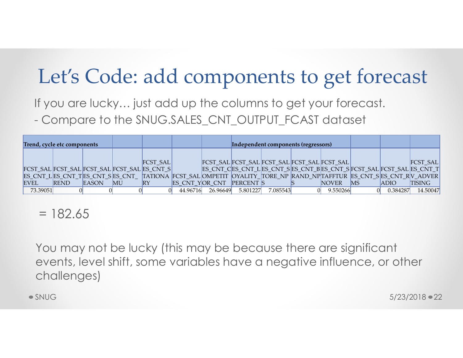## Let's Code: add components to get forecast

If you are lucky… just add up the columns to get your forecast. Let's Code: add components to get forecast<br>If you are lucky... just add up the columns to get your forecast.<br>- Compare to the SNUG.SALES\_CNT\_OUTPUT\_FCAST dataset

| Let's Code: add components to get forecast                                                                                                                                                                                                                            |                      |          |                                                        |                                                                                                                                                                 |          |                       |    |                             |                                       |
|-----------------------------------------------------------------------------------------------------------------------------------------------------------------------------------------------------------------------------------------------------------------------|----------------------|----------|--------------------------------------------------------|-----------------------------------------------------------------------------------------------------------------------------------------------------------------|----------|-----------------------|----|-----------------------------|---------------------------------------|
| If you are lucky just add up the columns to get your forecast.<br>- Compare to the SNUG.SALES_CNT_OUTPUT_FCAST dataset                                                                                                                                                |                      |          |                                                        |                                                                                                                                                                 |          |                       |    |                             |                                       |
| Trend, cycle etc components<br>FCST_SAL FCST_SAL FCST_SAL FCST_SAL ES_CNT_S<br>ES_CNT_L ES_CNT_T ES_CNT_S ES_CNT_  TATIONA  FCST_SAL  OMPETIT  OYALITY_ TORE_NP  RAND_NP TAFFTUR  ES_CNT_S ES_CNT_R V_ADVER<br><b>REND</b><br>EASON<br>EVEL<br>73.39051<br>$= 182.65$ | $\mathbf{M}$ U<br>RY | FCST_SAL | ES CNT_YOR_CNT PERCENT S<br>44.96716 26.96649 5.801227 | Independent components (regressors)<br>FCST_SAL FCST_SAL FCST_SAL FCST_SAL FCST_SAL<br>ES_CNT_CES_CNT_L ES_CNT_S ES_CNT_B ES_CNT_S FCST_SAL  FCST_SAL  ES_CNT_T | 7.085543 | NOVER<br>$0$ 9.550266 | MS | <b>ADIO</b><br>$0$ 0.384287 | FCST_SAL<br><b>TISING</b><br>14.50047 |
| You may not be lucky (this may be because there are significant<br>events, level shift, some variables have a negative influence, or other<br>challenges)<br>$\bullet$ SNUG                                                                                           |                      |          |                                                        |                                                                                                                                                                 |          |                       |    |                             | $5/23/2018$ $\bullet$ 22              |
|                                                                                                                                                                                                                                                                       |                      |          |                                                        |                                                                                                                                                                 |          |                       |    |                             |                                       |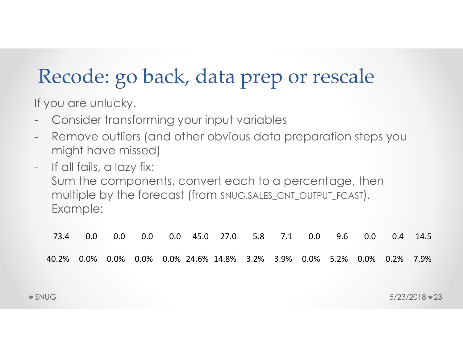## Recode: go back, data prep or rescale

If you are unlucky.

- 
- Recode: go back, data prep or resca<br>If you are unlucky.<br>- Consider transforming your input variables<br>- Remove outliers (and other obvious data preparation :<br>- might have missed) Recode: go back, data prep or rescale<br>If you are unlucky.<br>- Consider transforming your input variables<br>- Remove outliers (and other obvious data preparation steps you<br>might have missed)<br>- If all fails, a lazy fix: might have missed)
- might have missed)<br>
If all fails, a lazy fix:<br>
Sum the components, convert each to a percentage, then<br>
multiple by the forecast (from SNUG SALES\_CNT\_OUTPUT\_FCAST).<br>
Example:<br>
73.4 0.0 0.0 0.0 0.0 45.0 27.0 5.8 7.1 0.0 9.6 Recode: go back, data journal if you are unlucky.<br>
If you are unlucky.<br>
- Consider transforming your input v<br>
- Remove outliers (and other obviou<br>
might have missed)<br>
- If all fails, a lazy fix:<br>
Sum the components, conver Sum the components, convert each to a percentage, then multiple by the forecast (from SNUG.SALES\_CNT\_OUTPUT\_FCAST). Example: bu are unlucky.<br>
Consider transforming your input variables<br>
Remove outliers (and other obvious data preparation steps you<br>
If all fails, a lazy fix:<br>
Sum the components, convert each to a percentage, then<br>
multiple by the Consider transforming your input variables<br>
Remove outliers (and other obvious data preparation steps you<br>
might have missed)<br>
If all fails, a lazy fix:<br>
Sum the components, convert each to a percentage, then<br>
multiple by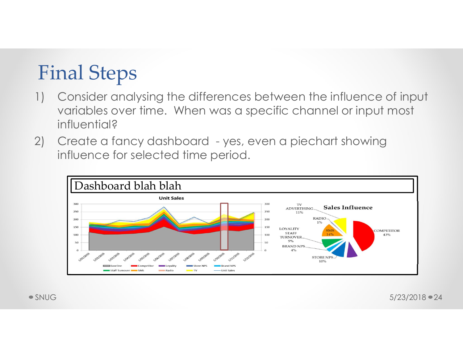## Final Steps

- Final Steps<br>
1) Consider analysing the differences between the influence of input<br>
variables over time. When was a specific channel or input most<br>
influential? variables over time. When was a specific channel or input most influential? Final Steps<br>
2) Consider analysing the differences between the influence of input<br>
variables over time. When was a specific channel or input most<br>
influential?<br>
2) Create a fancy dashboard - yes, even a piechart showing<br>
i
- influence for selected time period.